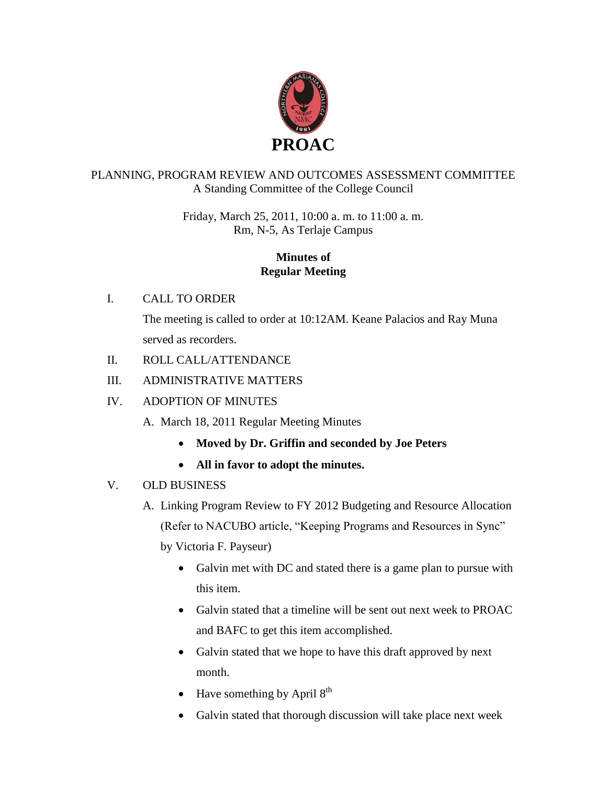

# PLANNING, PROGRAM REVIEW AND OUTCOMES ASSESSMENT COMMITTEE A Standing Committee of the College Council

Friday, March 25, 2011, 10:00 a. m. to 11:00 a. m. Rm, N-5, As Terlaje Campus

# **Minutes of Regular Meeting**

## I. CALL TO ORDER

The meeting is called to order at 10:12AM. Keane Palacios and Ray Muna served as recorders.

- II. ROLL CALL/ATTENDANCE
- III. ADMINISTRATIVE MATTERS

# IV. ADOPTION OF MINUTES

A. March 18, 2011 Regular Meeting Minutes

- **Moved by Dr. Griffin and seconded by Joe Peters**
- **All in favor to adopt the minutes.**

# V. OLD BUSINESS

- A. Linking Program Review to FY 2012 Budgeting and Resource Allocation (Refer to NACUBO article, "Keeping Programs and Resources in Sync" by Victoria F. Payseur)
	- Galvin met with DC and stated there is a game plan to pursue with this item.
	- Galvin stated that a timeline will be sent out next week to PROAC and BAFC to get this item accomplished.
	- Galvin stated that we hope to have this draft approved by next month.
	- Have something by April  $8<sup>th</sup>$
	- Galvin stated that thorough discussion will take place next week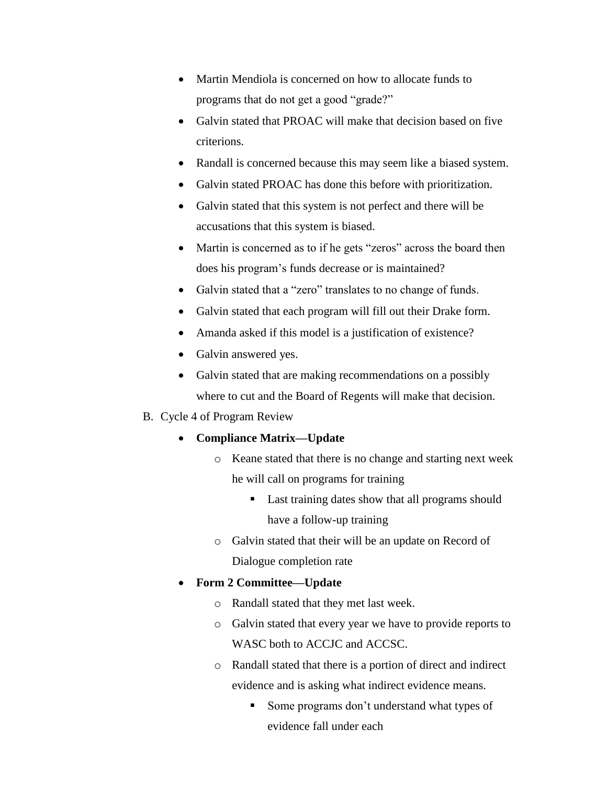- Martin Mendiola is concerned on how to allocate funds to programs that do not get a good "grade?"
- Galvin stated that PROAC will make that decision based on five criterions.
- Randall is concerned because this may seem like a biased system.
- Galvin stated PROAC has done this before with prioritization.
- Galvin stated that this system is not perfect and there will be accusations that this system is biased.
- Martin is concerned as to if he gets "zeros" across the board then does his program's funds decrease or is maintained?
- Galvin stated that a "zero" translates to no change of funds.
- Galvin stated that each program will fill out their Drake form.
- Amanda asked if this model is a justification of existence?
- Galvin answered yes.
- Galvin stated that are making recommendations on a possibly where to cut and the Board of Regents will make that decision.

### B. Cycle 4 of Program Review

### **Compliance Matrix—Update**

- o Keane stated that there is no change and starting next week he will call on programs for training
	- **Last training dates show that all programs should** have a follow-up training
- o Galvin stated that their will be an update on Record of Dialogue completion rate

## **Form 2 Committee—Update**

- o Randall stated that they met last week.
- o Galvin stated that every year we have to provide reports to WASC both to ACCJC and ACCSC.
- o Randall stated that there is a portion of direct and indirect evidence and is asking what indirect evidence means.
	- Some programs don't understand what types of evidence fall under each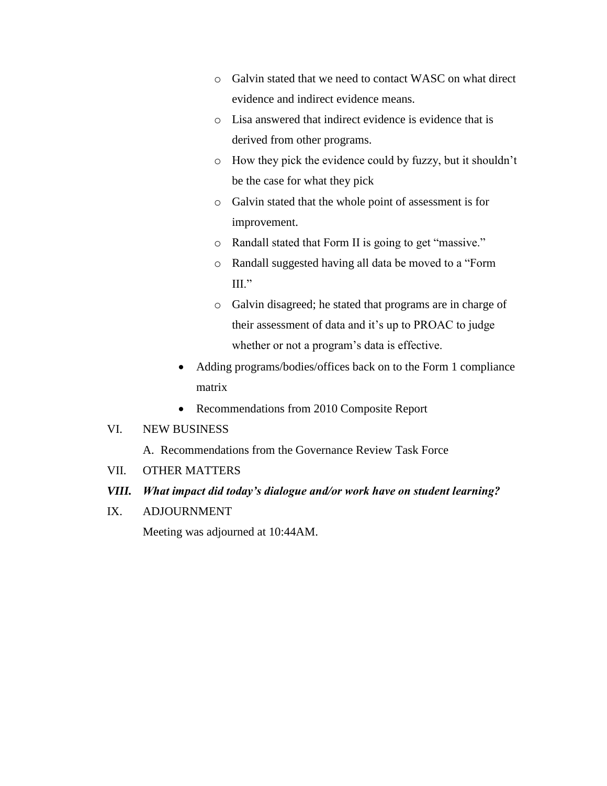- o Galvin stated that we need to contact WASC on what direct evidence and indirect evidence means.
- o Lisa answered that indirect evidence is evidence that is derived from other programs.
- o How they pick the evidence could by fuzzy, but it shouldn't be the case for what they pick
- o Galvin stated that the whole point of assessment is for improvement.
- o Randall stated that Form II is going to get "massive."
- o Randall suggested having all data be moved to a "Form III."
- o Galvin disagreed; he stated that programs are in charge of their assessment of data and it's up to PROAC to judge whether or not a program's data is effective.
- Adding programs/bodies/offices back on to the Form 1 compliance matrix
- Recommendations from 2010 Composite Report

### VI. NEW BUSINESS

- A. Recommendations from the Governance Review Task Force
- VII. OTHER MATTERS

### *VIII. What impact did today's dialogue and/or work have on student learning?*

IX. ADJOURNMENT

Meeting was adjourned at 10:44AM.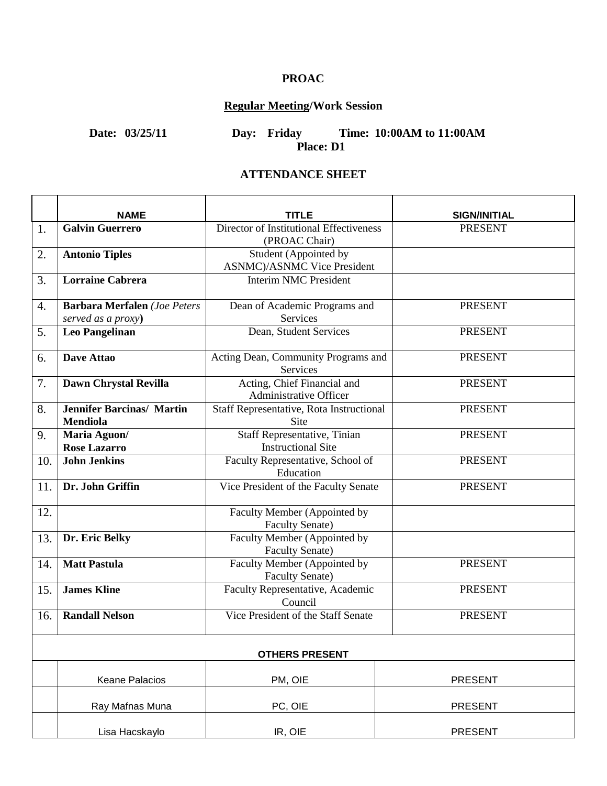# **PROAC**

# **Regular Meeting/Work Session**

**Date: 03/25/11 Day: Friday Time: 10:00AM to 11:00AM Place: D1**

## **ATTENDANCE SHEET**

|     | <b>NAME</b>                                         | TITLE                                                  | <b>SIGN/INITIAL</b> |  |  |
|-----|-----------------------------------------------------|--------------------------------------------------------|---------------------|--|--|
| 1.  | <b>Galvin Guerrero</b>                              | Director of Institutional Effectiveness                | <b>PRESENT</b>      |  |  |
|     |                                                     | (PROAC Chair)                                          |                     |  |  |
| 2.  | <b>Antonio Tiples</b>                               | Student (Appointed by                                  |                     |  |  |
|     |                                                     | <b>ASNMC</b> )/ASNMC Vice President                    |                     |  |  |
| 3.  | <b>Lorraine Cabrera</b>                             | <b>Interim NMC President</b>                           |                     |  |  |
| 4.  | <b>Barbara Merfalen</b> (Joe Peters                 | Dean of Academic Programs and                          | <b>PRESENT</b>      |  |  |
|     | served as a proxy)                                  | <b>Services</b>                                        |                     |  |  |
| 5.  | <b>Leo Pangelinan</b>                               | Dean, Student Services                                 | <b>PRESENT</b>      |  |  |
| 6.  | Dave Attao                                          | Acting Dean, Community Programs and<br>Services        | <b>PRESENT</b>      |  |  |
| 7.  | Dawn Chrystal Revilla                               | Acting, Chief Financial and<br>Administrative Officer  | <b>PRESENT</b>      |  |  |
| 8.  | <b>Jennifer Barcinas/ Martin</b><br><b>Mendiola</b> | Staff Representative, Rota Instructional<br>Site       | <b>PRESENT</b>      |  |  |
| 9.  | Maria Aguon/                                        | Staff Representative, Tinian                           | <b>PRESENT</b>      |  |  |
|     | <b>Rose Lazarro</b>                                 | <b>Instructional Site</b>                              |                     |  |  |
| 10. | <b>John Jenkins</b>                                 | Faculty Representative, School of<br>Education         | <b>PRESENT</b>      |  |  |
| 11. | Dr. John Griffin                                    | Vice President of the Faculty Senate                   | <b>PRESENT</b>      |  |  |
| 12. |                                                     | Faculty Member (Appointed by<br><b>Faculty Senate)</b> |                     |  |  |
| 13. | Dr. Eric Belky                                      | Faculty Member (Appointed by                           |                     |  |  |
|     |                                                     | <b>Faculty Senate)</b>                                 |                     |  |  |
| 14. | <b>Matt Pastula</b>                                 | Faculty Member (Appointed by<br><b>Faculty Senate)</b> | <b>PRESENT</b>      |  |  |
| 15. | <b>James Kline</b>                                  | Faculty Representative, Academic<br>Council            | <b>PRESENT</b>      |  |  |
| 16. | <b>Randall Nelson</b>                               | Vice President of the Staff Senate                     | <b>PRESENT</b>      |  |  |
|     | <b>OTHERS PRESENT</b>                               |                                                        |                     |  |  |
|     |                                                     |                                                        |                     |  |  |
|     | <b>Keane Palacios</b>                               | PM, OIE                                                | <b>PRESENT</b>      |  |  |
|     | Ray Mafnas Muna                                     | PC, OIE                                                | <b>PRESENT</b>      |  |  |
|     | Lisa Hacskaylo                                      | IR, OIE                                                | <b>PRESENT</b>      |  |  |